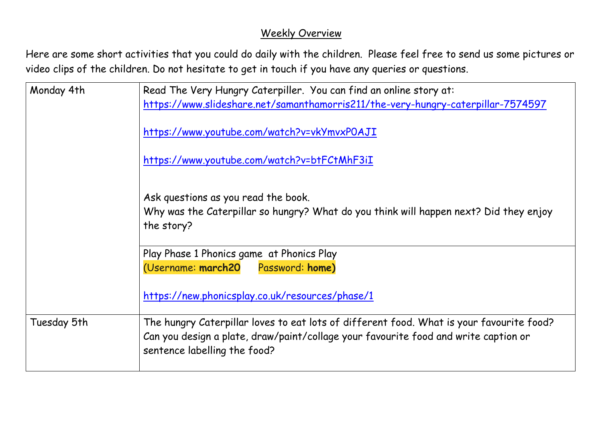## Weekly Overview

Here are some short activities that you could do daily with the children. Please feel free to send us some pictures or video clips of the children. Do not hesitate to get in touch if you have any queries or questions.

| Monday 4th  | Read The Very Hungry Caterpiller. You can find an online story at:<br>https://www.slideshare.net/samanthamorris211/the-very-hungry-caterpillar-7574597                                                          |
|-------------|-----------------------------------------------------------------------------------------------------------------------------------------------------------------------------------------------------------------|
|             | https://www.youtube.com/watch?v=vkYmvxPOAJI                                                                                                                                                                     |
|             | https://www.youtube.com/watch?v=btFCtMhF3iI                                                                                                                                                                     |
|             | Ask questions as you read the book.<br>Why was the Caterpillar so hungry? What do you think will happen next? Did they enjoy<br>the story?                                                                      |
|             | Play Phase 1 Phonics game at Phonics Play                                                                                                                                                                       |
|             | (Username: march20 Password: home)                                                                                                                                                                              |
|             | https://new.phonicsplay.co.uk/resources/phase/1                                                                                                                                                                 |
| Tuesday 5th | The hungry Caterpillar loves to eat lots of different food. What is your favourite food?<br>Can you design a plate, draw/paint/collage your favourite food and write caption or<br>sentence labelling the food? |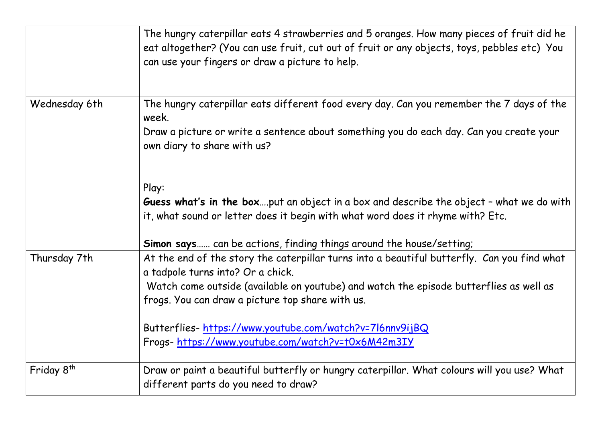|                        | The hungry caterpillar eats 4 strawberries and 5 oranges. How many pieces of fruit did he<br>eat altogether? (You can use fruit, cut out of fruit or any objects, toys, pebbles etc) You<br>can use your fingers or draw a picture to help.                                                                                               |
|------------------------|-------------------------------------------------------------------------------------------------------------------------------------------------------------------------------------------------------------------------------------------------------------------------------------------------------------------------------------------|
| Wednesday 6th          | The hungry caterpillar eats different food every day. Can you remember the 7 days of the<br>week.                                                                                                                                                                                                                                         |
|                        | Draw a picture or write a sentence about something you do each day. Can you create your<br>own diary to share with us?                                                                                                                                                                                                                    |
|                        | Play:<br>Guess what's in the boxput an object in a box and describe the object - what we do with<br>it, what sound or letter does it begin with what word does it rhyme with? Etc.<br>Simon says can be actions, finding things around the house/setting;                                                                                 |
| Thursday 7th           | At the end of the story the caterpillar turns into a beautiful butterfly. Can you find what<br>a tadpole turns into? Or a chick.<br>Watch come outside (available on youtube) and watch the episode butterflies as well as<br>frogs. You can draw a picture top share with us.<br>Butterflies-https://www.youtube.com/watch?v=7l6nnv9ijBQ |
|                        | Frogs-https://www.youtube.com/watch?v=t0x6M42m3IY                                                                                                                                                                                                                                                                                         |
| Friday 8 <sup>th</sup> | Draw or paint a beautiful butterfly or hungry caterpillar. What colours will you use? What<br>different parts do you need to draw?                                                                                                                                                                                                        |